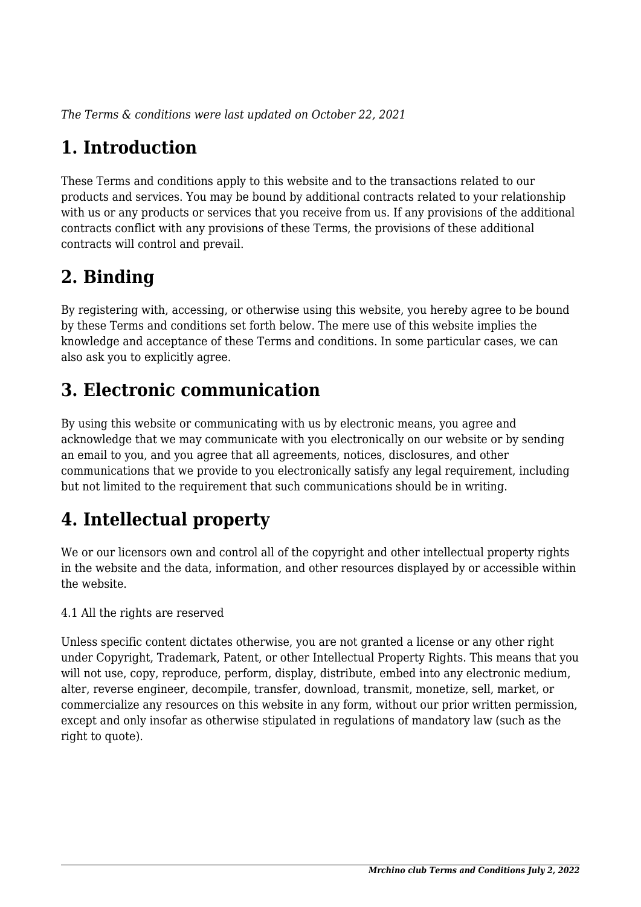*The Terms & conditions were last updated on October 22, 2021*

# **1. Introduction**

These Terms and conditions apply to this website and to the transactions related to our products and services. You may be bound by additional contracts related to your relationship with us or any products or services that you receive from us. If any provisions of the additional contracts conflict with any provisions of these Terms, the provisions of these additional contracts will control and prevail.

# **2. Binding**

By registering with, accessing, or otherwise using this website, you hereby agree to be bound by these Terms and conditions set forth below. The mere use of this website implies the knowledge and acceptance of these Terms and conditions. In some particular cases, we can also ask you to explicitly agree.

# **3. Electronic communication**

By using this website or communicating with us by electronic means, you agree and acknowledge that we may communicate with you electronically on our website or by sending an email to you, and you agree that all agreements, notices, disclosures, and other communications that we provide to you electronically satisfy any legal requirement, including but not limited to the requirement that such communications should be in writing.

# **4. Intellectual property**

We or our licensors own and control all of the copyright and other intellectual property rights in the website and the data, information, and other resources displayed by or accessible within the website.

4.1 All the rights are reserved

Unless specific content dictates otherwise, you are not granted a license or any other right under Copyright, Trademark, Patent, or other Intellectual Property Rights. This means that you will not use, copy, reproduce, perform, display, distribute, embed into any electronic medium, alter, reverse engineer, decompile, transfer, download, transmit, monetize, sell, market, or commercialize any resources on this website in any form, without our prior written permission, except and only insofar as otherwise stipulated in regulations of mandatory law (such as the right to quote).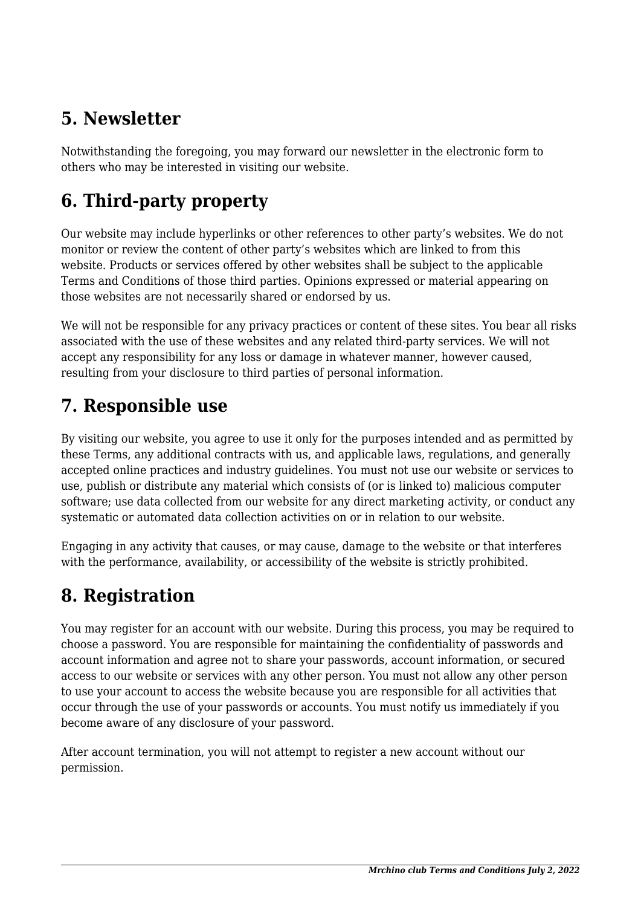## **5. Newsletter**

Notwithstanding the foregoing, you may forward our newsletter in the electronic form to others who may be interested in visiting our website.

# **6. Third-party property**

Our website may include hyperlinks or other references to other party's websites. We do not monitor or review the content of other party's websites which are linked to from this website. Products or services offered by other websites shall be subject to the applicable Terms and Conditions of those third parties. Opinions expressed or material appearing on those websites are not necessarily shared or endorsed by us.

We will not be responsible for any privacy practices or content of these sites. You bear all risks associated with the use of these websites and any related third-party services. We will not accept any responsibility for any loss or damage in whatever manner, however caused, resulting from your disclosure to third parties of personal information.

### **7. Responsible use**

By visiting our website, you agree to use it only for the purposes intended and as permitted by these Terms, any additional contracts with us, and applicable laws, regulations, and generally accepted online practices and industry guidelines. You must not use our website or services to use, publish or distribute any material which consists of (or is linked to) malicious computer software; use data collected from our website for any direct marketing activity, or conduct any systematic or automated data collection activities on or in relation to our website.

Engaging in any activity that causes, or may cause, damage to the website or that interferes with the performance, availability, or accessibility of the website is strictly prohibited.

## **8. Registration**

You may register for an account with our website. During this process, you may be required to choose a password. You are responsible for maintaining the confidentiality of passwords and account information and agree not to share your passwords, account information, or secured access to our website or services with any other person. You must not allow any other person to use your account to access the website because you are responsible for all activities that occur through the use of your passwords or accounts. You must notify us immediately if you become aware of any disclosure of your password.

After account termination, you will not attempt to register a new account without our permission.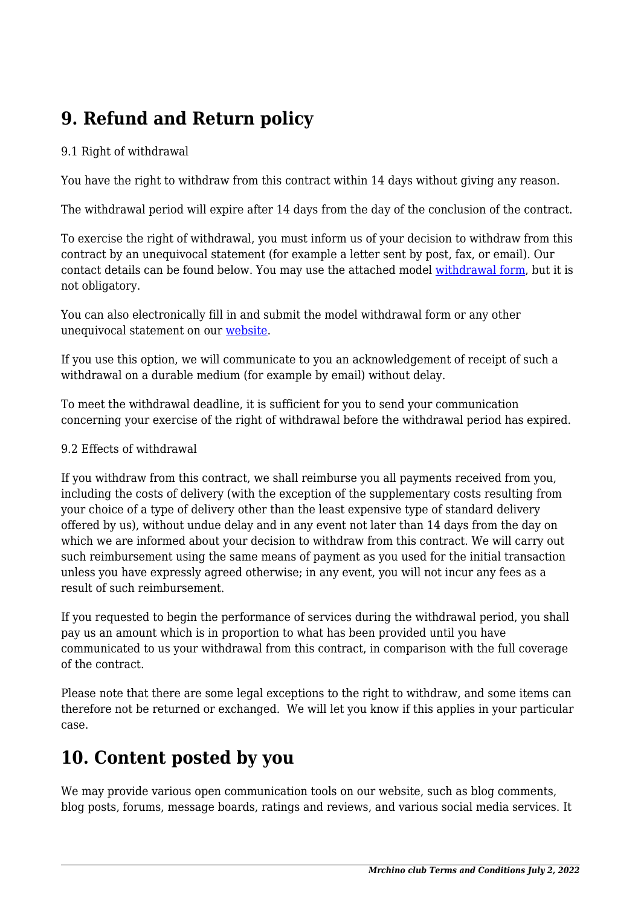# **9. Refund and Return policy**

#### 9.1 Right of withdrawal

You have the right to withdraw from this contract within 14 days without giving any reason.

The withdrawal period will expire after 14 days from the day of the conclusion of the contract.

To exercise the right of withdrawal, you must inform us of your decision to withdraw from this contract by an unequivocal statement (for example a letter sent by post, fax, or email). Our contact details can be found below. You may use the attached model [withdrawal form](https://mrchino.club/wp-content/uploads/complianz/withdrawal-forms/withdrawal-form-en.pdf), but it is not obligatory.

You can also electronically fill in and submit the model withdrawal form or any other unequivocal statement on our [website](https://mrchino.club/about-us/).

If you use this option, we will communicate to you an acknowledgement of receipt of such a withdrawal on a durable medium (for example by email) without delay.

To meet the withdrawal deadline, it is sufficient for you to send your communication concerning your exercise of the right of withdrawal before the withdrawal period has expired.

#### 9.2 Effects of withdrawal

If you withdraw from this contract, we shall reimburse you all payments received from you, including the costs of delivery (with the exception of the supplementary costs resulting from your choice of a type of delivery other than the least expensive type of standard delivery offered by us), without undue delay and in any event not later than 14 days from the day on which we are informed about your decision to withdraw from this contract. We will carry out such reimbursement using the same means of payment as you used for the initial transaction unless you have expressly agreed otherwise; in any event, you will not incur any fees as a result of such reimbursement.

If you requested to begin the performance of services during the withdrawal period, you shall pay us an amount which is in proportion to what has been provided until you have communicated to us your withdrawal from this contract, in comparison with the full coverage of the contract.

Please note that there are some legal exceptions to the right to withdraw, and some items can therefore not be returned or exchanged. We will let you know if this applies in your particular case.

#### **10. Content posted by you**

We may provide various open communication tools on our website, such as blog comments, blog posts, forums, message boards, ratings and reviews, and various social media services. It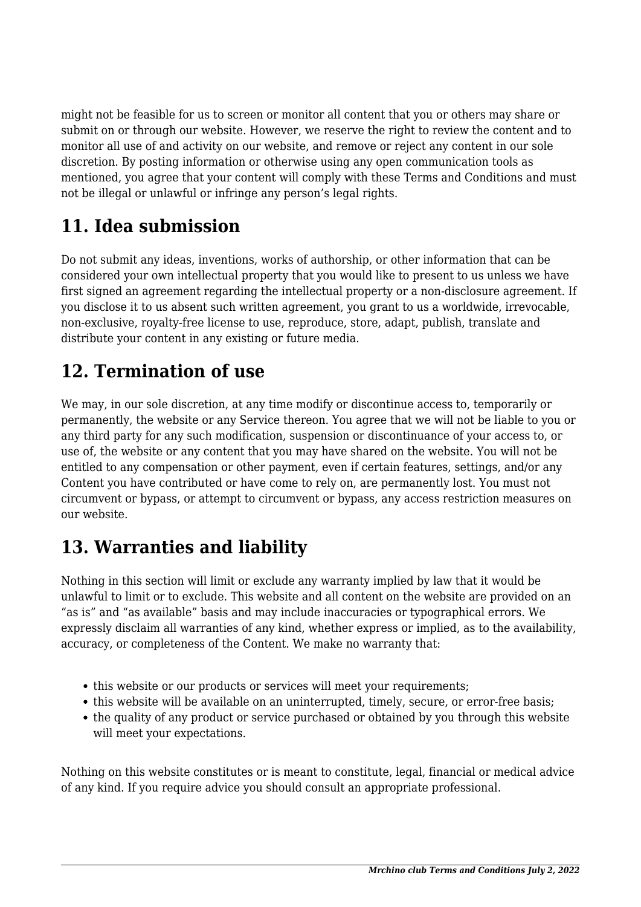might not be feasible for us to screen or monitor all content that you or others may share or submit on or through our website. However, we reserve the right to review the content and to monitor all use of and activity on our website, and remove or reject any content in our sole discretion. By posting information or otherwise using any open communication tools as mentioned, you agree that your content will comply with these Terms and Conditions and must not be illegal or unlawful or infringe any person's legal rights.

# **11. Idea submission**

Do not submit any ideas, inventions, works of authorship, or other information that can be considered your own intellectual property that you would like to present to us unless we have first signed an agreement regarding the intellectual property or a non-disclosure agreement. If you disclose it to us absent such written agreement, you grant to us a worldwide, irrevocable, non-exclusive, royalty-free license to use, reproduce, store, adapt, publish, translate and distribute your content in any existing or future media.

## **12. Termination of use**

We may, in our sole discretion, at any time modify or discontinue access to, temporarily or permanently, the website or any Service thereon. You agree that we will not be liable to you or any third party for any such modification, suspension or discontinuance of your access to, or use of, the website or any content that you may have shared on the website. You will not be entitled to any compensation or other payment, even if certain features, settings, and/or any Content you have contributed or have come to rely on, are permanently lost. You must not circumvent or bypass, or attempt to circumvent or bypass, any access restriction measures on our website.

## **13. Warranties and liability**

Nothing in this section will limit or exclude any warranty implied by law that it would be unlawful to limit or to exclude. This website and all content on the website are provided on an "as is" and "as available" basis and may include inaccuracies or typographical errors. We expressly disclaim all warranties of any kind, whether express or implied, as to the availability, accuracy, or completeness of the Content. We make no warranty that:

- this website or our products or services will meet your requirements;
- this website will be available on an uninterrupted, timely, secure, or error-free basis;
- the quality of any product or service purchased or obtained by you through this website will meet your expectations.

Nothing on this website constitutes or is meant to constitute, legal, financial or medical advice of any kind. If you require advice you should consult an appropriate professional.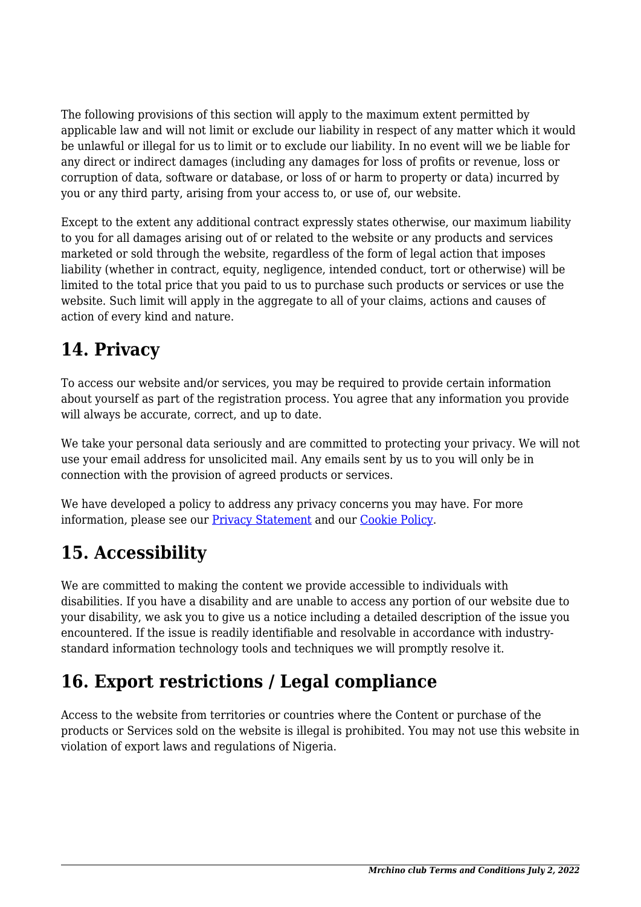The following provisions of this section will apply to the maximum extent permitted by applicable law and will not limit or exclude our liability in respect of any matter which it would be unlawful or illegal for us to limit or to exclude our liability. In no event will we be liable for any direct or indirect damages (including any damages for loss of profits or revenue, loss or corruption of data, software or database, or loss of or harm to property or data) incurred by you or any third party, arising from your access to, or use of, our website.

Except to the extent any additional contract expressly states otherwise, our maximum liability to you for all damages arising out of or related to the website or any products and services marketed or sold through the website, regardless of the form of legal action that imposes liability (whether in contract, equity, negligence, intended conduct, tort or otherwise) will be limited to the total price that you paid to us to purchase such products or services or use the website. Such limit will apply in the aggregate to all of your claims, actions and causes of action of every kind and nature.

## **14. Privacy**

To access our website and/or services, you may be required to provide certain information about yourself as part of the registration process. You agree that any information you provide will always be accurate, correct, and up to date.

We take your personal data seriously and are committed to protecting your privacy. We will not use your email address for unsolicited mail. Any emails sent by us to you will only be in connection with the provision of agreed products or services.

We have developed a policy to address any privacy concerns you may have. For more information, please see our Privacy Statement and our Cookie Policy.

# **15. Accessibility**

We are committed to making the content we provide accessible to individuals with disabilities. If you have a disability and are unable to access any portion of our website due to your disability, we ask you to give us a notice including a detailed description of the issue you encountered. If the issue is readily identifiable and resolvable in accordance with industrystandard information technology tools and techniques we will promptly resolve it.

# **16. Export restrictions / Legal compliance**

Access to the website from territories or countries where the Content or purchase of the products or Services sold on the website is illegal is prohibited. You may not use this website in violation of export laws and regulations of Nigeria.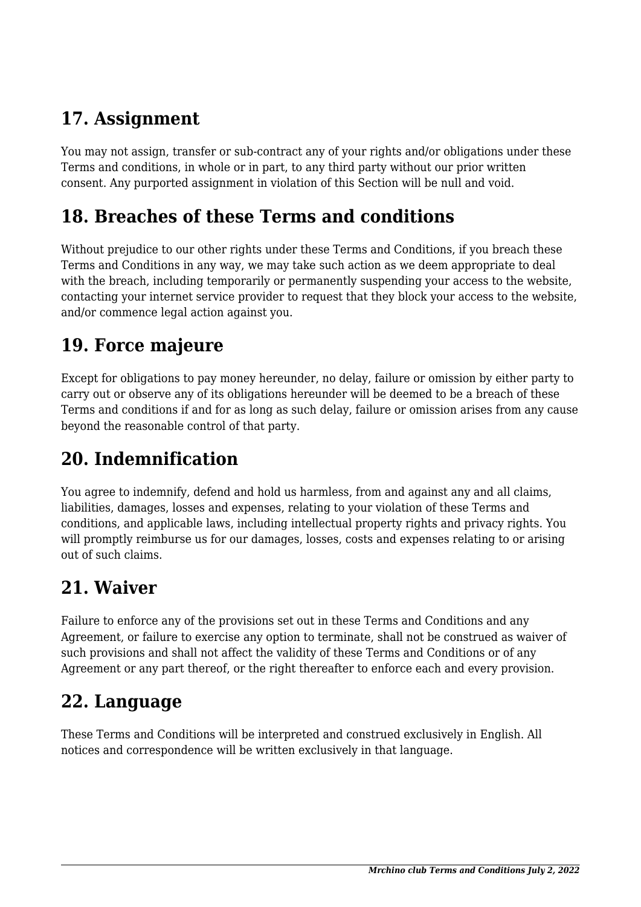## **17. Assignment**

You may not assign, transfer or sub-contract any of your rights and/or obligations under these Terms and conditions, in whole or in part, to any third party without our prior written consent. Any purported assignment in violation of this Section will be null and void.

#### **18. Breaches of these Terms and conditions**

Without prejudice to our other rights under these Terms and Conditions, if you breach these Terms and Conditions in any way, we may take such action as we deem appropriate to deal with the breach, including temporarily or permanently suspending your access to the website, contacting your internet service provider to request that they block your access to the website, and/or commence legal action against you.

#### **19. Force majeure**

Except for obligations to pay money hereunder, no delay, failure or omission by either party to carry out or observe any of its obligations hereunder will be deemed to be a breach of these Terms and conditions if and for as long as such delay, failure or omission arises from any cause beyond the reasonable control of that party.

## **20. Indemnification**

You agree to indemnify, defend and hold us harmless, from and against any and all claims, liabilities, damages, losses and expenses, relating to your violation of these Terms and conditions, and applicable laws, including intellectual property rights and privacy rights. You will promptly reimburse us for our damages, losses, costs and expenses relating to or arising out of such claims.

### **21. Waiver**

Failure to enforce any of the provisions set out in these Terms and Conditions and any Agreement, or failure to exercise any option to terminate, shall not be construed as waiver of such provisions and shall not affect the validity of these Terms and Conditions or of any Agreement or any part thereof, or the right thereafter to enforce each and every provision.

### **22. Language**

These Terms and Conditions will be interpreted and construed exclusively in English. All notices and correspondence will be written exclusively in that language.